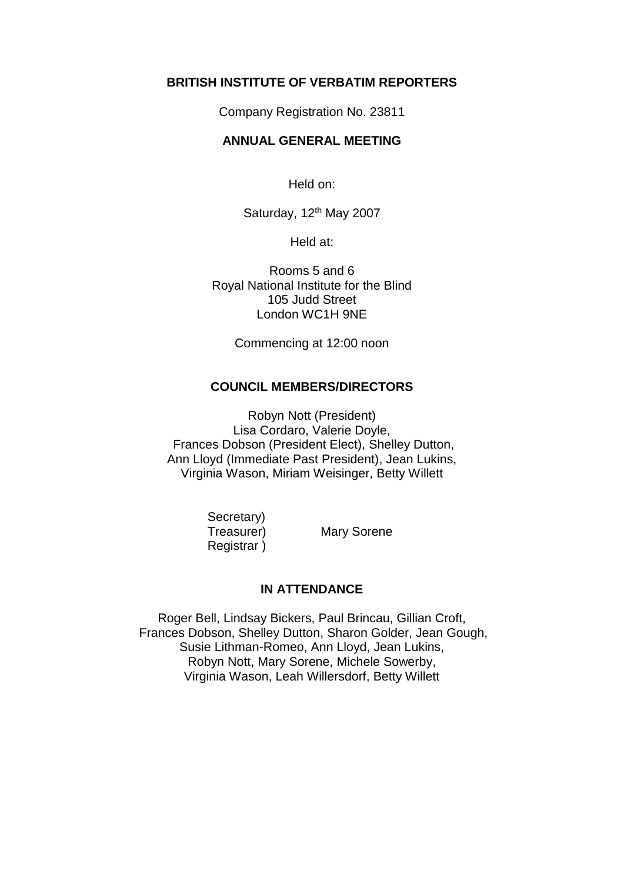## **BRITISH INSTITUTE OF VERBATIM REPORTERS**

Company Registration No. 23811

## **ANNUAL GENERAL MEETING**

Held on:

Saturday, 12<sup>th</sup> May 2007

Held at:

Rooms 5 and 6 Royal National Institute for the Blind 105 Judd Street London WC1H 9NE

Commencing at 12:00 noon

## **COUNCIL MEMBERS/DIRECTORS**

Robyn Nott (President) Lisa Cordaro, Valerie Doyle, Frances Dobson (President Elect), Shelley Dutton, Ann Lloyd (Immediate Past President), Jean Lukins, Virginia Wason, Miriam Weisinger, Betty Willett

> Secretary) Registrar )

Treasurer) Mary Sorene

## **IN ATTENDANCE**

Roger Bell, Lindsay Bickers, Paul Brincau, Gillian Croft, Frances Dobson, Shelley Dutton, Sharon Golder, Jean Gough, Susie Lithman-Romeo, Ann Lloyd, Jean Lukins, Robyn Nott, Mary Sorene, Michele Sowerby, Virginia Wason, Leah Willersdorf, Betty Willett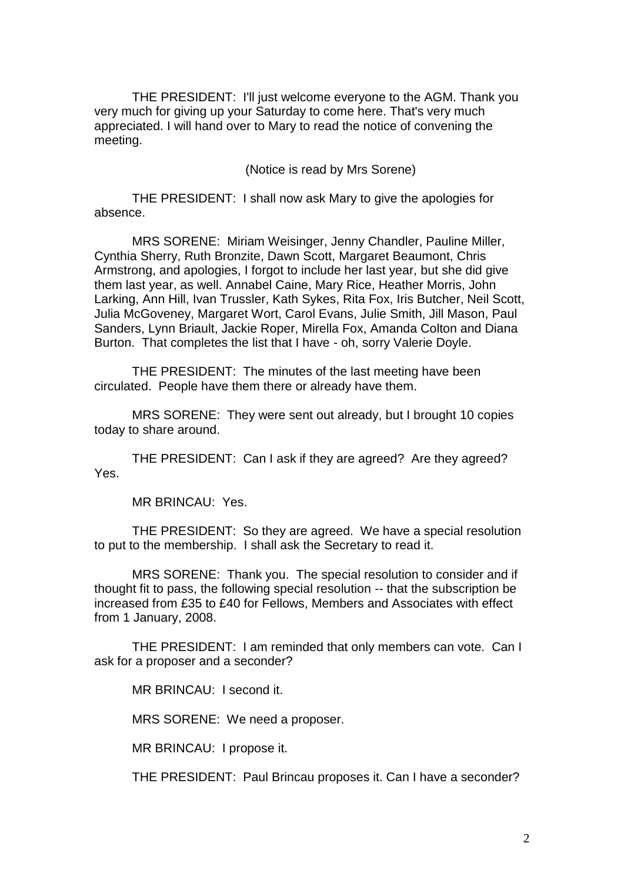THE PRESIDENT: I'll just welcome everyone to the AGM. Thank you very much for giving up your Saturday to come here. That's very much appreciated. I will hand over to Mary to read the notice of convening the meeting.

(Notice is read by Mrs Sorene)

THE PRESIDENT: I shall now ask Mary to give the apologies for absence.

MRS SORENE: Miriam Weisinger, Jenny Chandler, Pauline Miller, Cynthia Sherry, Ruth Bronzite, Dawn Scott, Margaret Beaumont, Chris Armstrong, and apologies, I forgot to include her last year, but she did give them last year, as well. Annabel Caine, Mary Rice, Heather Morris, John Larking, Ann Hill, Ivan Trussler, Kath Sykes, Rita Fox, Iris Butcher, Neil Scott, Julia McGoveney, Margaret Wort, Carol Evans, Julie Smith, Jill Mason, Paul Sanders, Lynn Briault, Jackie Roper, Mirella Fox, Amanda Colton and Diana Burton. That completes the list that I have - oh, sorry Valerie Doyle.

THE PRESIDENT: The minutes of the last meeting have been circulated. People have them there or already have them.

MRS SORENE: They were sent out already, but I brought 10 copies today to share around.

THE PRESIDENT: Can I ask if they are agreed? Are they agreed? Yes.

MR BRINCAU: Yes.

THE PRESIDENT: So they are agreed. We have a special resolution to put to the membership. I shall ask the Secretary to read it.

MRS SORENE: Thank you. The special resolution to consider and if thought fit to pass, the following special resolution -- that the subscription be increased from £35 to £40 for Fellows, Members and Associates with effect from 1 January, 2008.

THE PRESIDENT: I am reminded that only members can vote. Can I ask for a proposer and a seconder?

MR BRINCAU: I second it.

MRS SORENE: We need a proposer.

MR BRINCAU: I propose it.

THE PRESIDENT: Paul Brincau proposes it. Can I have a seconder?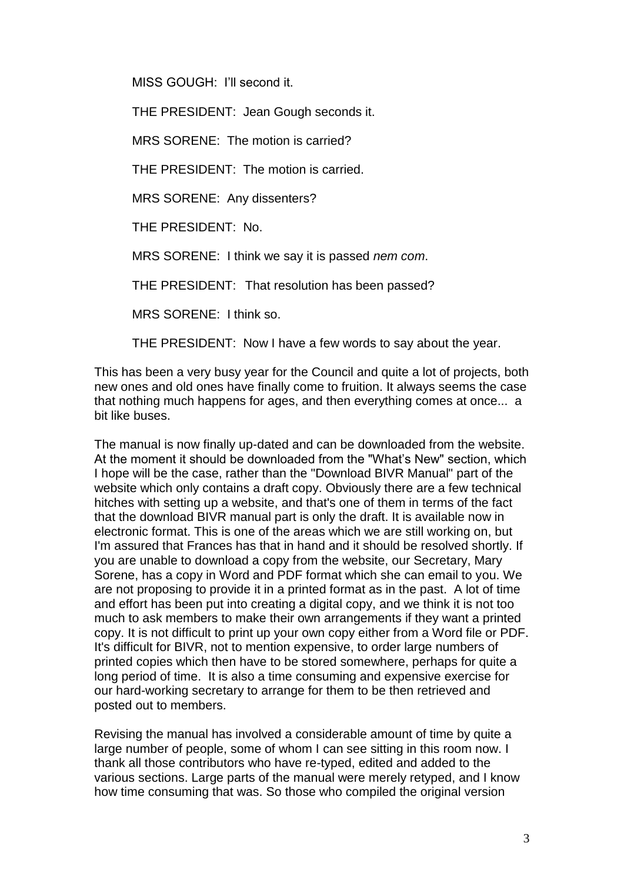MISS GOUGH: I'll second it.

THE PRESIDENT: Jean Gough seconds it.

MRS SORENE: The motion is carried?

THE PRESIDENT: The motion is carried.

MRS SORENE: Any dissenters?

THE PRESIDENT: No.

MRS SORENE: I think we say it is passed *nem com*.

THE PRESIDENT: That resolution has been passed?

MRS SORENE: I think so.

THE PRESIDENT: Now I have a few words to say about the year.

This has been a very busy year for the Council and quite a lot of projects, both new ones and old ones have finally come to fruition. It always seems the case that nothing much happens for ages, and then everything comes at once... a bit like buses.

The manual is now finally up-dated and can be downloaded from the website. At the moment it should be downloaded from the "What's New" section, which I hope will be the case, rather than the "Download BIVR Manual" part of the website which only contains a draft copy. Obviously there are a few technical hitches with setting up a website, and that's one of them in terms of the fact that the download BIVR manual part is only the draft. It is available now in electronic format. This is one of the areas which we are still working on, but I'm assured that Frances has that in hand and it should be resolved shortly. If you are unable to download a copy from the website, our Secretary, Mary Sorene, has a copy in Word and PDF format which she can email to you. We are not proposing to provide it in a printed format as in the past. A lot of time and effort has been put into creating a digital copy, and we think it is not too much to ask members to make their own arrangements if they want a printed copy. It is not difficult to print up your own copy either from a Word file or PDF. It's difficult for BIVR, not to mention expensive, to order large numbers of printed copies which then have to be stored somewhere, perhaps for quite a long period of time. It is also a time consuming and expensive exercise for our hard-working secretary to arrange for them to be then retrieved and posted out to members.

Revising the manual has involved a considerable amount of time by quite a large number of people, some of whom I can see sitting in this room now. I thank all those contributors who have re-typed, edited and added to the various sections. Large parts of the manual were merely retyped, and I know how time consuming that was. So those who compiled the original version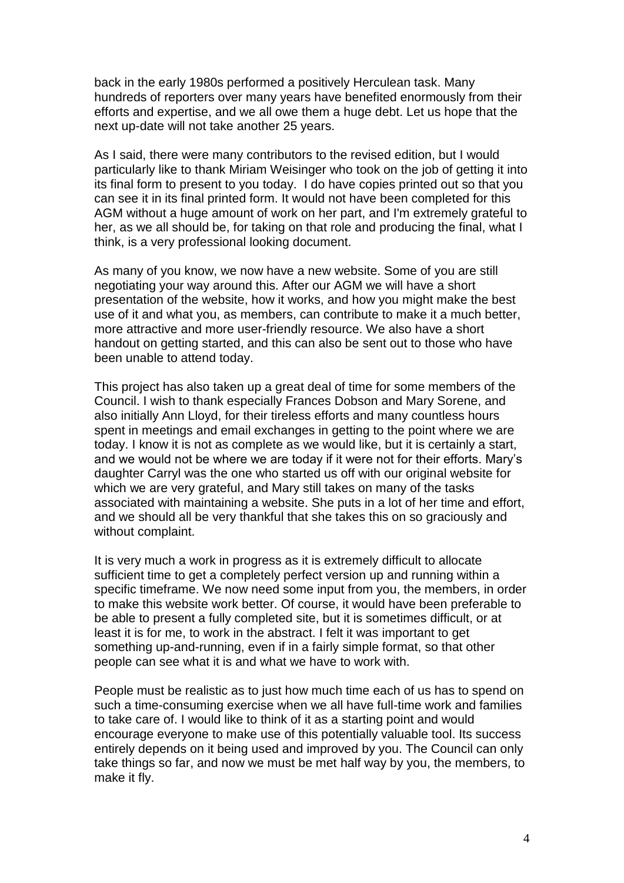back in the early 1980s performed a positively Herculean task. Many hundreds of reporters over many years have benefited enormously from their efforts and expertise, and we all owe them a huge debt. Let us hope that the next up-date will not take another 25 years.

As I said, there were many contributors to the revised edition, but I would particularly like to thank Miriam Weisinger who took on the job of getting it into its final form to present to you today. I do have copies printed out so that you can see it in its final printed form. It would not have been completed for this AGM without a huge amount of work on her part, and I'm extremely grateful to her, as we all should be, for taking on that role and producing the final, what I think, is a very professional looking document.

As many of you know, we now have a new website. Some of you are still negotiating your way around this. After our AGM we will have a short presentation of the website, how it works, and how you might make the best use of it and what you, as members, can contribute to make it a much better, more attractive and more user-friendly resource. We also have a short handout on getting started, and this can also be sent out to those who have been unable to attend today.

This project has also taken up a great deal of time for some members of the Council. I wish to thank especially Frances Dobson and Mary Sorene, and also initially Ann Lloyd, for their tireless efforts and many countless hours spent in meetings and email exchanges in getting to the point where we are today. I know it is not as complete as we would like, but it is certainly a start, and we would not be where we are today if it were not for their efforts. Mary's daughter Carryl was the one who started us off with our original website for which we are very grateful, and Mary still takes on many of the tasks associated with maintaining a website. She puts in a lot of her time and effort, and we should all be very thankful that she takes this on so graciously and without complaint.

It is very much a work in progress as it is extremely difficult to allocate sufficient time to get a completely perfect version up and running within a specific timeframe. We now need some input from you, the members, in order to make this website work better. Of course, it would have been preferable to be able to present a fully completed site, but it is sometimes difficult, or at least it is for me, to work in the abstract. I felt it was important to get something up-and-running, even if in a fairly simple format, so that other people can see what it is and what we have to work with.

People must be realistic as to just how much time each of us has to spend on such a time-consuming exercise when we all have full-time work and families to take care of. I would like to think of it as a starting point and would encourage everyone to make use of this potentially valuable tool. Its success entirely depends on it being used and improved by you. The Council can only take things so far, and now we must be met half way by you, the members, to make it fly.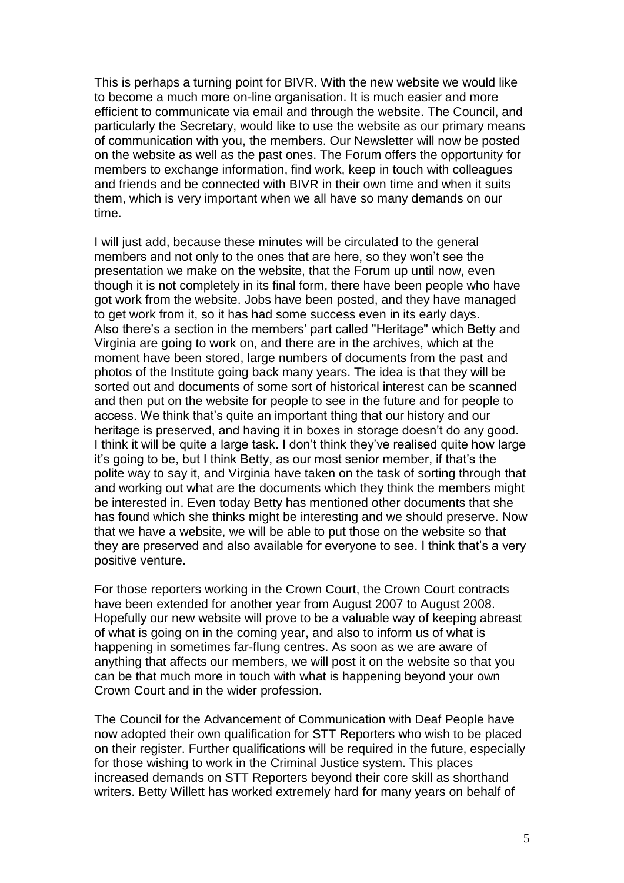This is perhaps a turning point for BIVR. With the new website we would like to become a much more on-line organisation. It is much easier and more efficient to communicate via email and through the website. The Council, and particularly the Secretary, would like to use the website as our primary means of communication with you, the members. Our Newsletter will now be posted on the website as well as the past ones. The Forum offers the opportunity for members to exchange information, find work, keep in touch with colleagues and friends and be connected with BIVR in their own time and when it suits them, which is very important when we all have so many demands on our time.

I will just add, because these minutes will be circulated to the general members and not only to the ones that are here, so they won't see the presentation we make on the website, that the Forum up until now, even though it is not completely in its final form, there have been people who have got work from the website. Jobs have been posted, and they have managed to get work from it, so it has had some success even in its early days. Also there's a section in the members' part called "Heritage" which Betty and Virginia are going to work on, and there are in the archives, which at the moment have been stored, large numbers of documents from the past and photos of the Institute going back many years. The idea is that they will be sorted out and documents of some sort of historical interest can be scanned and then put on the website for people to see in the future and for people to access. We think that's quite an important thing that our history and our heritage is preserved, and having it in boxes in storage doesn't do any good. I think it will be quite a large task. I don't think they've realised quite how large it's going to be, but I think Betty, as our most senior member, if that's the polite way to say it, and Virginia have taken on the task of sorting through that and working out what are the documents which they think the members might be interested in. Even today Betty has mentioned other documents that she has found which she thinks might be interesting and we should preserve. Now that we have a website, we will be able to put those on the website so that they are preserved and also available for everyone to see. I think that's a very positive venture.

For those reporters working in the Crown Court, the Crown Court contracts have been extended for another year from August 2007 to August 2008. Hopefully our new website will prove to be a valuable way of keeping abreast of what is going on in the coming year, and also to inform us of what is happening in sometimes far-flung centres. As soon as we are aware of anything that affects our members, we will post it on the website so that you can be that much more in touch with what is happening beyond your own Crown Court and in the wider profession.

The Council for the Advancement of Communication with Deaf People have now adopted their own qualification for STT Reporters who wish to be placed on their register. Further qualifications will be required in the future, especially for those wishing to work in the Criminal Justice system. This places increased demands on STT Reporters beyond their core skill as shorthand writers. Betty Willett has worked extremely hard for many years on behalf of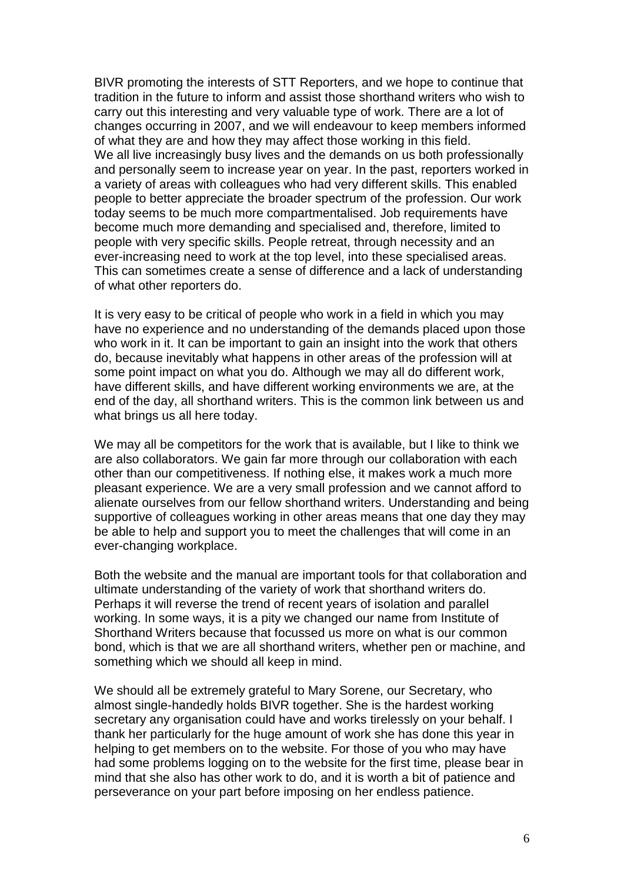BIVR promoting the interests of STT Reporters, and we hope to continue that tradition in the future to inform and assist those shorthand writers who wish to carry out this interesting and very valuable type of work. There are a lot of changes occurring in 2007, and we will endeavour to keep members informed of what they are and how they may affect those working in this field. We all live increasingly busy lives and the demands on us both professionally and personally seem to increase year on year. In the past, reporters worked in a variety of areas with colleagues who had very different skills. This enabled people to better appreciate the broader spectrum of the profession. Our work today seems to be much more compartmentalised. Job requirements have become much more demanding and specialised and, therefore, limited to people with very specific skills. People retreat, through necessity and an ever-increasing need to work at the top level, into these specialised areas. This can sometimes create a sense of difference and a lack of understanding of what other reporters do.

It is very easy to be critical of people who work in a field in which you may have no experience and no understanding of the demands placed upon those who work in it. It can be important to gain an insight into the work that others do, because inevitably what happens in other areas of the profession will at some point impact on what you do. Although we may all do different work, have different skills, and have different working environments we are, at the end of the day, all shorthand writers. This is the common link between us and what brings us all here today.

We may all be competitors for the work that is available, but I like to think we are also collaborators. We gain far more through our collaboration with each other than our competitiveness. If nothing else, it makes work a much more pleasant experience. We are a very small profession and we cannot afford to alienate ourselves from our fellow shorthand writers. Understanding and being supportive of colleagues working in other areas means that one day they may be able to help and support you to meet the challenges that will come in an ever-changing workplace.

Both the website and the manual are important tools for that collaboration and ultimate understanding of the variety of work that shorthand writers do. Perhaps it will reverse the trend of recent years of isolation and parallel working. In some ways, it is a pity we changed our name from Institute of Shorthand Writers because that focussed us more on what is our common bond, which is that we are all shorthand writers, whether pen or machine, and something which we should all keep in mind.

We should all be extremely grateful to Mary Sorene, our Secretary, who almost single-handedly holds BIVR together. She is the hardest working secretary any organisation could have and works tirelessly on your behalf. I thank her particularly for the huge amount of work she has done this year in helping to get members on to the website. For those of you who may have had some problems logging on to the website for the first time, please bear in mind that she also has other work to do, and it is worth a bit of patience and perseverance on your part before imposing on her endless patience.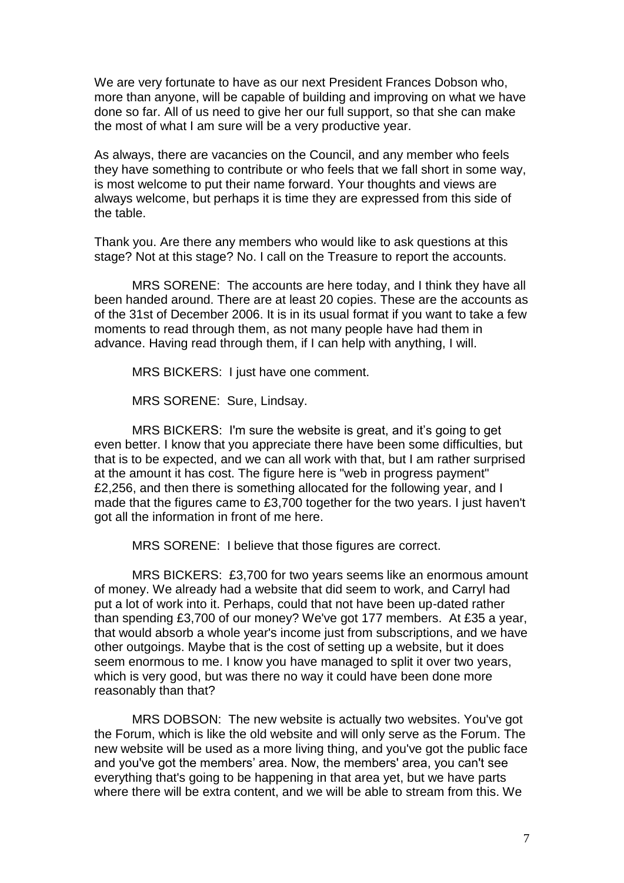We are very fortunate to have as our next President Frances Dobson who, more than anyone, will be capable of building and improving on what we have done so far. All of us need to give her our full support, so that she can make the most of what I am sure will be a very productive year.

As always, there are vacancies on the Council, and any member who feels they have something to contribute or who feels that we fall short in some way, is most welcome to put their name forward. Your thoughts and views are always welcome, but perhaps it is time they are expressed from this side of the table.

Thank you. Are there any members who would like to ask questions at this stage? Not at this stage? No. I call on the Treasure to report the accounts.

MRS SORENE: The accounts are here today, and I think they have all been handed around. There are at least 20 copies. These are the accounts as of the 31st of December 2006. It is in its usual format if you want to take a few moments to read through them, as not many people have had them in advance. Having read through them, if I can help with anything, I will.

MRS BICKERS: I just have one comment.

MRS SORENE: Sure, Lindsay.

MRS BICKERS: I'm sure the website is great, and it's going to get even better. I know that you appreciate there have been some difficulties, but that is to be expected, and we can all work with that, but I am rather surprised at the amount it has cost. The figure here is "web in progress payment" £2,256, and then there is something allocated for the following year, and I made that the figures came to £3,700 together for the two years. I just haven't got all the information in front of me here.

MRS SORENE: I believe that those figures are correct.

MRS BICKERS: £3,700 for two years seems like an enormous amount of money. We already had a website that did seem to work, and Carryl had put a lot of work into it. Perhaps, could that not have been up-dated rather than spending £3,700 of our money? We've got 177 members. At £35 a year, that would absorb a whole year's income just from subscriptions, and we have other outgoings. Maybe that is the cost of setting up a website, but it does seem enormous to me. I know you have managed to split it over two years, which is very good, but was there no way it could have been done more reasonably than that?

MRS DOBSON: The new website is actually two websites. You've got the Forum, which is like the old website and will only serve as the Forum. The new website will be used as a more living thing, and you've got the public face and you've got the members' area. Now, the members' area, you can't see everything that's going to be happening in that area yet, but we have parts where there will be extra content, and we will be able to stream from this. We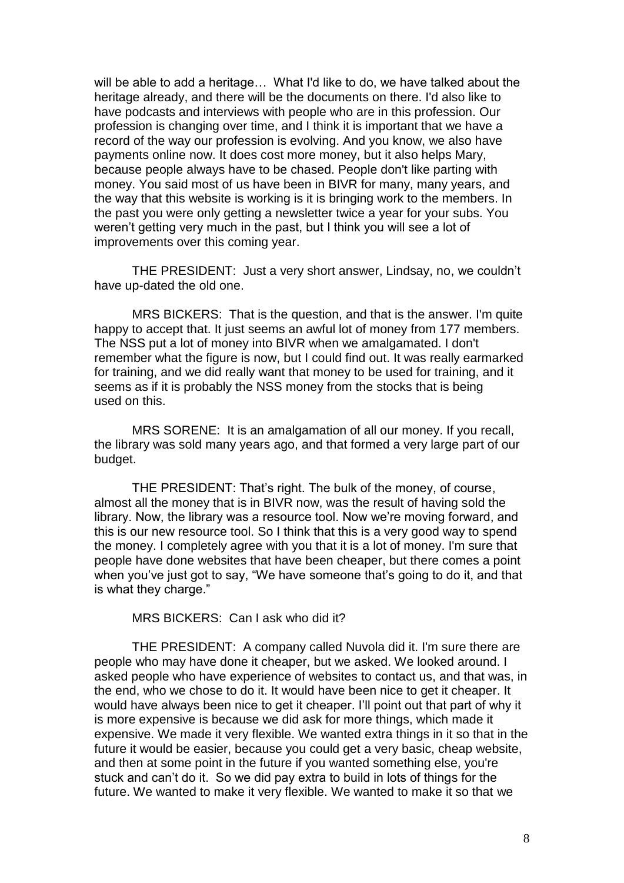will be able to add a heritage… What I'd like to do, we have talked about the heritage already, and there will be the documents on there. I'd also like to have podcasts and interviews with people who are in this profession. Our profession is changing over time, and I think it is important that we have a record of the way our profession is evolving. And you know, we also have payments online now. It does cost more money, but it also helps Mary, because people always have to be chased. People don't like parting with money. You said most of us have been in BIVR for many, many years, and the way that this website is working is it is bringing work to the members. In the past you were only getting a newsletter twice a year for your subs. You weren't getting very much in the past, but I think you will see a lot of improvements over this coming year.

THE PRESIDENT: Just a very short answer, Lindsay, no, we couldn't have up-dated the old one.

MRS BICKERS: That is the question, and that is the answer. I'm quite happy to accept that. It just seems an awful lot of money from 177 members. The NSS put a lot of money into BIVR when we amalgamated. I don't remember what the figure is now, but I could find out. It was really earmarked for training, and we did really want that money to be used for training, and it seems as if it is probably the NSS money from the stocks that is being used on this.

MRS SORENE: It is an amalgamation of all our money. If you recall, the library was sold many years ago, and that formed a very large part of our budget.

THE PRESIDENT: That's right. The bulk of the money, of course, almost all the money that is in BIVR now, was the result of having sold the library. Now, the library was a resource tool. Now we're moving forward, and this is our new resource tool. So I think that this is a very good way to spend the money. I completely agree with you that it is a lot of money. I'm sure that people have done websites that have been cheaper, but there comes a point when you've just got to say, "We have someone that's going to do it, and that is what they charge."

MRS BICKERS: Can I ask who did it?

THE PRESIDENT: A company called Nuvola did it. I'm sure there are people who may have done it cheaper, but we asked. We looked around. I asked people who have experience of websites to contact us, and that was, in the end, who we chose to do it. It would have been nice to get it cheaper. It would have always been nice to get it cheaper. I'll point out that part of why it is more expensive is because we did ask for more things, which made it expensive. We made it very flexible. We wanted extra things in it so that in the future it would be easier, because you could get a very basic, cheap website, and then at some point in the future if you wanted something else, you're stuck and can't do it. So we did pay extra to build in lots of things for the future. We wanted to make it very flexible. We wanted to make it so that we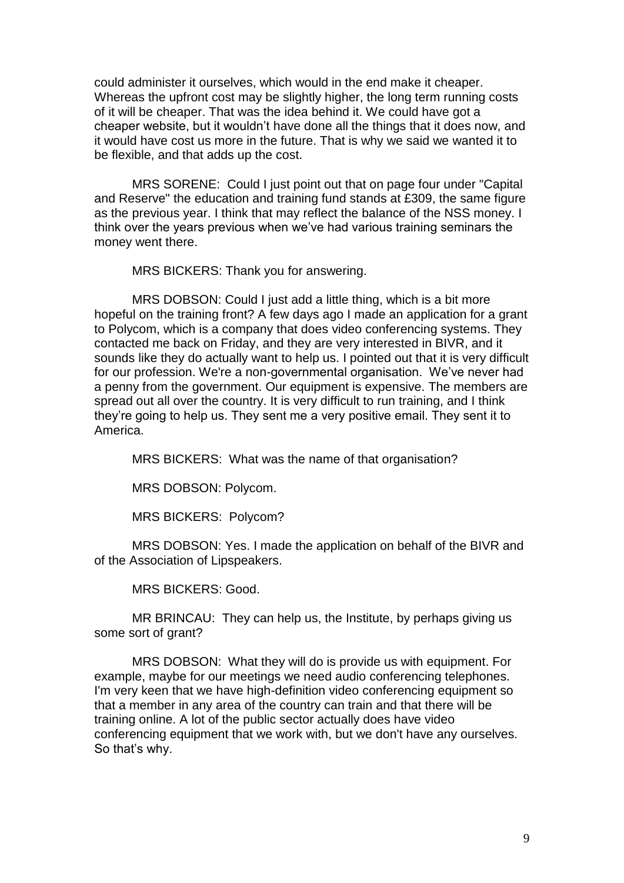could administer it ourselves, which would in the end make it cheaper. Whereas the upfront cost may be slightly higher, the long term running costs of it will be cheaper. That was the idea behind it. We could have got a cheaper website, but it wouldn't have done all the things that it does now, and it would have cost us more in the future. That is why we said we wanted it to be flexible, and that adds up the cost.

MRS SORENE: Could I just point out that on page four under "Capital and Reserve" the education and training fund stands at £309, the same figure as the previous year. I think that may reflect the balance of the NSS money. I think over the years previous when we've had various training seminars the money went there.

MRS BICKERS: Thank you for answering.

MRS DOBSON: Could I just add a little thing, which is a bit more hopeful on the training front? A few days ago I made an application for a grant to Polycom, which is a company that does video conferencing systems. They contacted me back on Friday, and they are very interested in BIVR, and it sounds like they do actually want to help us. I pointed out that it is very difficult for our profession. We're a non-governmental organisation. We've never had a penny from the government. Our equipment is expensive. The members are spread out all over the country. It is very difficult to run training, and I think they're going to help us. They sent me a very positive email. They sent it to America.

MRS BICKERS: What was the name of that organisation?

MRS DOBSON: Polycom.

MRS BICKERS: Polycom?

MRS DOBSON: Yes. I made the application on behalf of the BIVR and of the Association of Lipspeakers.

MRS BICKERS: Good.

MR BRINCAU: They can help us, the Institute, by perhaps giving us some sort of grant?

MRS DOBSON: What they will do is provide us with equipment. For example, maybe for our meetings we need audio conferencing telephones. I'm very keen that we have high-definition video conferencing equipment so that a member in any area of the country can train and that there will be training online. A lot of the public sector actually does have video conferencing equipment that we work with, but we don't have any ourselves. So that's why.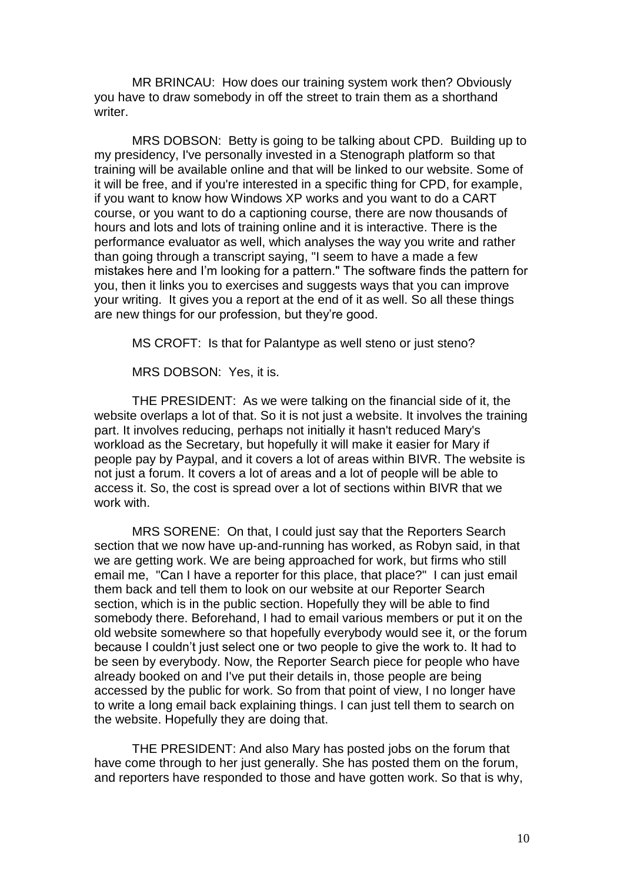MR BRINCAU: How does our training system work then? Obviously you have to draw somebody in off the street to train them as a shorthand writer.

MRS DOBSON: Betty is going to be talking about CPD. Building up to my presidency, I've personally invested in a Stenograph platform so that training will be available online and that will be linked to our website. Some of it will be free, and if you're interested in a specific thing for CPD, for example, if you want to know how Windows XP works and you want to do a CART course, or you want to do a captioning course, there are now thousands of hours and lots and lots of training online and it is interactive. There is the performance evaluator as well, which analyses the way you write and rather than going through a transcript saying, "I seem to have a made a few mistakes here and I'm looking for a pattern." The software finds the pattern for you, then it links you to exercises and suggests ways that you can improve your writing. It gives you a report at the end of it as well. So all these things are new things for our profession, but they're good.

MS CROFT: Is that for Palantype as well steno or just steno?

MRS DOBSON: Yes, it is.

THE PRESIDENT: As we were talking on the financial side of it, the website overlaps a lot of that. So it is not just a website. It involves the training part. It involves reducing, perhaps not initially it hasn't reduced Mary's workload as the Secretary, but hopefully it will make it easier for Mary if people pay by Paypal, and it covers a lot of areas within BIVR. The website is not just a forum. It covers a lot of areas and a lot of people will be able to access it. So, the cost is spread over a lot of sections within BIVR that we work with.

MRS SORENE: On that, I could just say that the Reporters Search section that we now have up-and-running has worked, as Robyn said, in that we are getting work. We are being approached for work, but firms who still email me, "Can I have a reporter for this place, that place?" I can just email them back and tell them to look on our website at our Reporter Search section, which is in the public section. Hopefully they will be able to find somebody there. Beforehand, I had to email various members or put it on the old website somewhere so that hopefully everybody would see it, or the forum because I couldn't just select one or two people to give the work to. It had to be seen by everybody. Now, the Reporter Search piece for people who have already booked on and I've put their details in, those people are being accessed by the public for work. So from that point of view, I no longer have to write a long email back explaining things. I can just tell them to search on the website. Hopefully they are doing that.

THE PRESIDENT: And also Mary has posted jobs on the forum that have come through to her just generally. She has posted them on the forum, and reporters have responded to those and have gotten work. So that is why,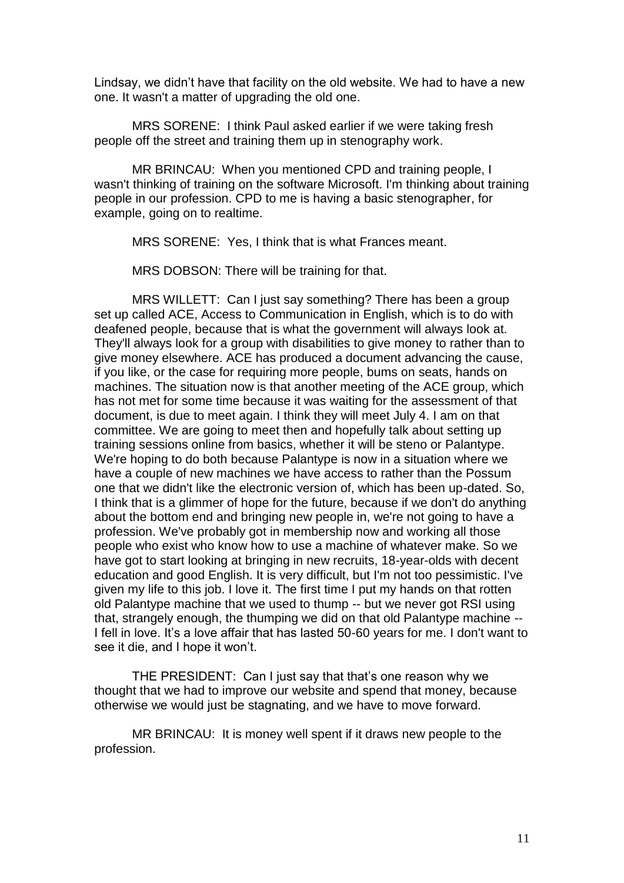Lindsay, we didn't have that facility on the old website. We had to have a new one. It wasn't a matter of upgrading the old one.

MRS SORENE: I think Paul asked earlier if we were taking fresh people off the street and training them up in stenography work.

MR BRINCAU: When you mentioned CPD and training people, I wasn't thinking of training on the software Microsoft. I'm thinking about training people in our profession. CPD to me is having a basic stenographer, for example, going on to realtime.

MRS SORENE: Yes, I think that is what Frances meant.

MRS DOBSON: There will be training for that.

MRS WILLETT: Can I just say something? There has been a group set up called ACE, Access to Communication in English, which is to do with deafened people, because that is what the government will always look at. They'll always look for a group with disabilities to give money to rather than to give money elsewhere. ACE has produced a document advancing the cause, if you like, or the case for requiring more people, bums on seats, hands on machines. The situation now is that another meeting of the ACE group, which has not met for some time because it was waiting for the assessment of that document, is due to meet again. I think they will meet July 4. I am on that committee. We are going to meet then and hopefully talk about setting up training sessions online from basics, whether it will be steno or Palantype. We're hoping to do both because Palantype is now in a situation where we have a couple of new machines we have access to rather than the Possum one that we didn't like the electronic version of, which has been up-dated. So, I think that is a glimmer of hope for the future, because if we don't do anything about the bottom end and bringing new people in, we're not going to have a profession. We've probably got in membership now and working all those people who exist who know how to use a machine of whatever make. So we have got to start looking at bringing in new recruits, 18-year-olds with decent education and good English. It is very difficult, but I'm not too pessimistic. I've given my life to this job. I love it. The first time I put my hands on that rotten old Palantype machine that we used to thump -- but we never got RSI using that, strangely enough, the thumping we did on that old Palantype machine -- I fell in love. It's a love affair that has lasted 50-60 years for me. I don't want to see it die, and I hope it won't.

THE PRESIDENT: Can I just say that that's one reason why we thought that we had to improve our website and spend that money, because otherwise we would just be stagnating, and we have to move forward.

MR BRINCAU: It is money well spent if it draws new people to the profession.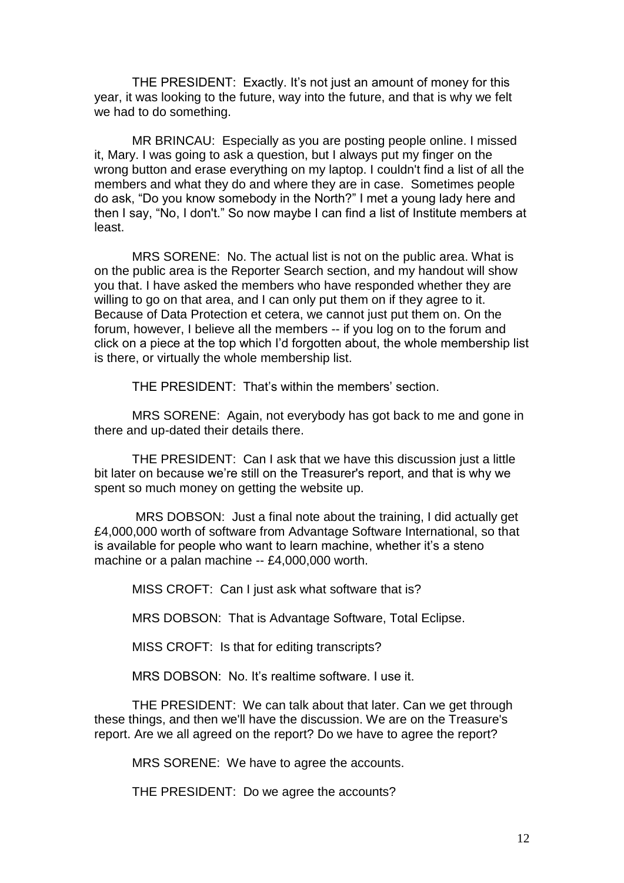THE PRESIDENT: Exactly. It's not just an amount of money for this year, it was looking to the future, way into the future, and that is why we felt we had to do something.

MR BRINCAU: Especially as you are posting people online. I missed it, Mary. I was going to ask a question, but I always put my finger on the wrong button and erase everything on my laptop. I couldn't find a list of all the members and what they do and where they are in case. Sometimes people do ask, "Do you know somebody in the North?" I met a young lady here and then I say, "No, I don't." So now maybe I can find a list of Institute members at least.

MRS SORENE: No. The actual list is not on the public area. What is on the public area is the Reporter Search section, and my handout will show you that. I have asked the members who have responded whether they are willing to go on that area, and I can only put them on if they agree to it. Because of Data Protection et cetera, we cannot just put them on. On the forum, however, I believe all the members -- if you log on to the forum and click on a piece at the top which I'd forgotten about, the whole membership list is there, or virtually the whole membership list.

THE PRESIDENT: That's within the members' section.

MRS SORENE: Again, not everybody has got back to me and gone in there and up-dated their details there.

THE PRESIDENT: Can I ask that we have this discussion just a little bit later on because we're still on the Treasurer's report, and that is why we spent so much money on getting the website up.

MRS DOBSON: Just a final note about the training, I did actually get £4,000,000 worth of software from Advantage Software International, so that is available for people who want to learn machine, whether it's a steno machine or a palan machine -- £4,000,000 worth.

MISS CROFT: Can I just ask what software that is?

MRS DOBSON: That is Advantage Software, Total Eclipse.

MISS CROFT: Is that for editing transcripts?

MRS DOBSON: No. It's realtime software. I use it.

THE PRESIDENT: We can talk about that later. Can we get through these things, and then we'll have the discussion. We are on the Treasure's report. Are we all agreed on the report? Do we have to agree the report?

MRS SORENE: We have to agree the accounts.

THE PRESIDENT: Do we agree the accounts?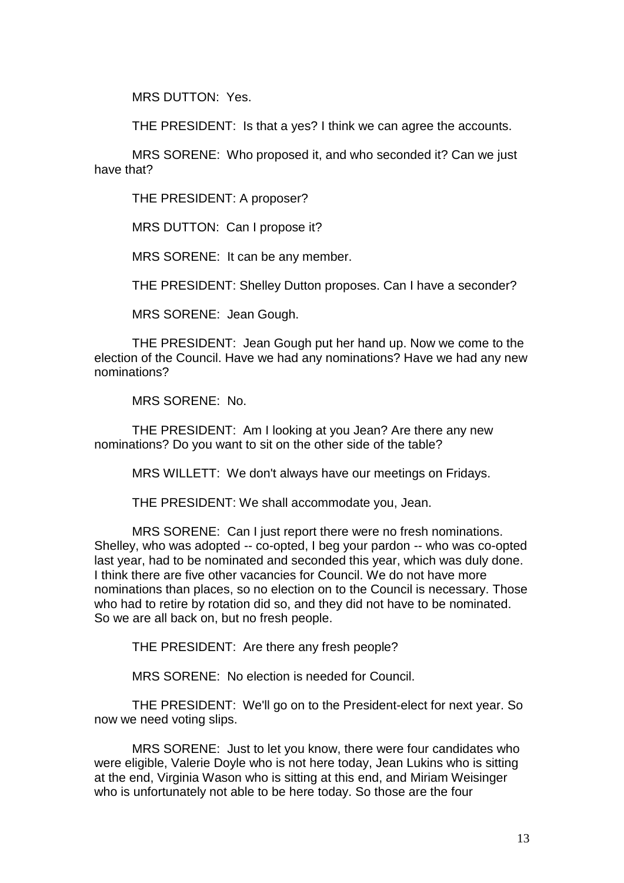MRS DUTTON: Yes.

THE PRESIDENT: Is that a yes? I think we can agree the accounts.

MRS SORENE: Who proposed it, and who seconded it? Can we just have that?

THE PRESIDENT: A proposer?

MRS DUTTON: Can I propose it?

MRS SORENE: It can be any member.

THE PRESIDENT: Shelley Dutton proposes. Can I have a seconder?

MRS SORENE: Jean Gough.

THE PRESIDENT: Jean Gough put her hand up. Now we come to the election of the Council. Have we had any nominations? Have we had any new nominations?

MRS SORENE: No.

THE PRESIDENT: Am I looking at you Jean? Are there any new nominations? Do you want to sit on the other side of the table?

MRS WILLETT: We don't always have our meetings on Fridays.

THE PRESIDENT: We shall accommodate you, Jean.

MRS SORENE: Can I just report there were no fresh nominations. Shelley, who was adopted -- co-opted, I beg your pardon -- who was co-opted last year, had to be nominated and seconded this year, which was duly done. I think there are five other vacancies for Council. We do not have more nominations than places, so no election on to the Council is necessary. Those who had to retire by rotation did so, and they did not have to be nominated. So we are all back on, but no fresh people.

THE PRESIDENT: Are there any fresh people?

MRS SORENE: No election is needed for Council.

 THE PRESIDENT: We'll go on to the President-elect for next year. So now we need voting slips.

MRS SORENE: Just to let you know, there were four candidates who were eligible, Valerie Doyle who is not here today, Jean Lukins who is sitting at the end, Virginia Wason who is sitting at this end, and Miriam Weisinger who is unfortunately not able to be here today. So those are the four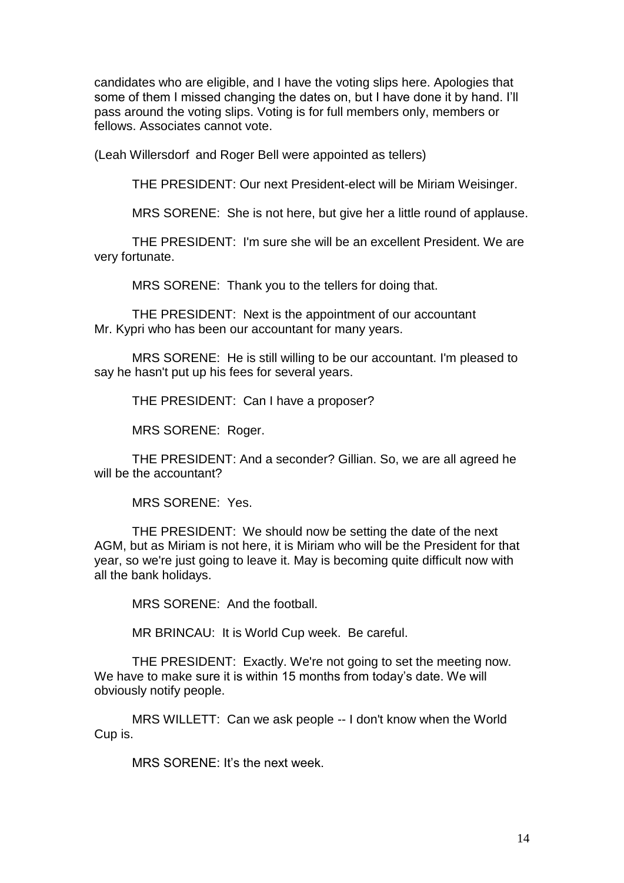candidates who are eligible, and I have the voting slips here. Apologies that some of them I missed changing the dates on, but I have done it by hand. I'll pass around the voting slips. Voting is for full members only, members or fellows. Associates cannot vote.

(Leah Willersdorf and Roger Bell were appointed as tellers)

THE PRESIDENT: Our next President-elect will be Miriam Weisinger.

MRS SORENE: She is not here, but give her a little round of applause.

THE PRESIDENT: I'm sure she will be an excellent President. We are very fortunate.

MRS SORENE: Thank you to the tellers for doing that.

THE PRESIDENT: Next is the appointment of our accountant Mr. Kypri who has been our accountant for many years.

MRS SORENE: He is still willing to be our accountant. I'm pleased to say he hasn't put up his fees for several years.

THE PRESIDENT: Can I have a proposer?

MRS SORENE: Roger.

THE PRESIDENT: And a seconder? Gillian. So, we are all agreed he will be the accountant?

MRS SORENE: Yes.

THE PRESIDENT: We should now be setting the date of the next AGM, but as Miriam is not here, it is Miriam who will be the President for that year, so we're just going to leave it. May is becoming quite difficult now with all the bank holidays.

MRS SORENE: And the football.

MR BRINCAU: It is World Cup week. Be careful.

THE PRESIDENT: Exactly. We're not going to set the meeting now. We have to make sure it is within 15 months from today's date. We will obviously notify people.

MRS WILLETT: Can we ask people -- I don't know when the World Cup is.

MRS SORENE: It's the next week.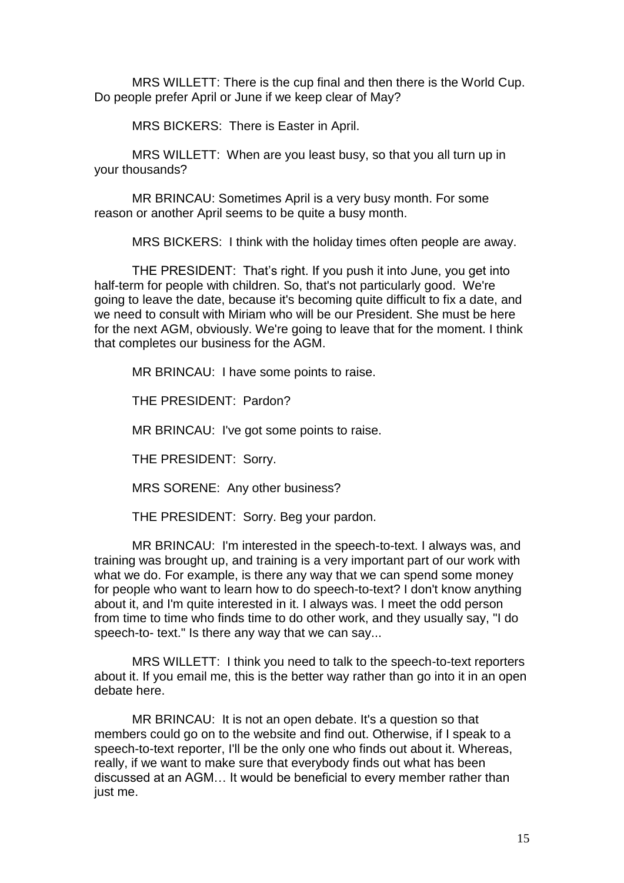MRS WILLETT: There is the cup final and then there is the World Cup. Do people prefer April or June if we keep clear of May?

MRS BICKERS: There is Easter in April.

MRS WILLETT: When are you least busy, so that you all turn up in your thousands?

MR BRINCAU: Sometimes April is a very busy month. For some reason or another April seems to be quite a busy month.

MRS BICKERS: I think with the holiday times often people are away.

THE PRESIDENT: That's right. If you push it into June, you get into half-term for people with children. So, that's not particularly good. We're going to leave the date, because it's becoming quite difficult to fix a date, and we need to consult with Miriam who will be our President. She must be here for the next AGM, obviously. We're going to leave that for the moment. I think that completes our business for the AGM.

MR BRINCAU: I have some points to raise.

THE PRESIDENT: Pardon?

MR BRINCAU: I've got some points to raise.

THE PRESIDENT: Sorry.

MRS SORENE: Any other business?

THE PRESIDENT: Sorry. Beg your pardon.

MR BRINCAU: I'm interested in the speech-to-text. I always was, and training was brought up, and training is a very important part of our work with what we do. For example, is there any way that we can spend some money for people who want to learn how to do speech-to-text? I don't know anything about it, and I'm quite interested in it. I always was. I meet the odd person from time to time who finds time to do other work, and they usually say, "I do speech-to- text." Is there any way that we can say...

MRS WILLETT: I think you need to talk to the speech-to-text reporters about it. If you email me, this is the better way rather than go into it in an open debate here.

MR BRINCAU: It is not an open debate. It's a question so that members could go on to the website and find out. Otherwise, if I speak to a speech-to-text reporter, I'll be the only one who finds out about it. Whereas, really, if we want to make sure that everybody finds out what has been discussed at an AGM… It would be beneficial to every member rather than just me.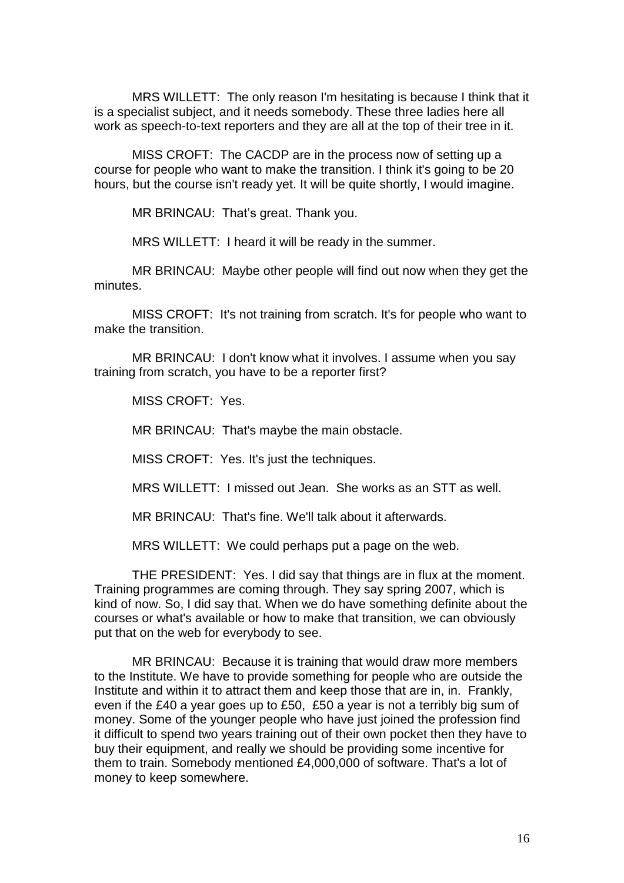MRS WILLETT: The only reason I'm hesitating is because I think that it is a specialist subject, and it needs somebody. These three ladies here all work as speech-to-text reporters and they are all at the top of their tree in it.

MISS CROFT: The CACDP are in the process now of setting up a course for people who want to make the transition. I think it's going to be 20 hours, but the course isn't ready yet. It will be quite shortly, I would imagine.

MR BRINCAU: That's great. Thank you.

MRS WILLETT: I heard it will be ready in the summer.

MR BRINCAU: Maybe other people will find out now when they get the minutes.

MISS CROFT: It's not training from scratch. It's for people who want to make the transition.

MR BRINCAU: I don't know what it involves. I assume when you say training from scratch, you have to be a reporter first?

MISS CROFT: Yes.

MR BRINCAU: That's maybe the main obstacle.

MISS CROFT: Yes. It's just the techniques.

MRS WILLETT: I missed out Jean. She works as an STT as well.

MR BRINCAU: That's fine. We'll talk about it afterwards.

MRS WILLETT: We could perhaps put a page on the web.

THE PRESIDENT: Yes. I did say that things are in flux at the moment. Training programmes are coming through. They say spring 2007, which is kind of now. So, I did say that. When we do have something definite about the courses or what's available or how to make that transition, we can obviously put that on the web for everybody to see.

MR BRINCAU: Because it is training that would draw more members to the Institute. We have to provide something for people who are outside the Institute and within it to attract them and keep those that are in, in. Frankly, even if the £40 a year goes up to £50, £50 a year is not a terribly big sum of money. Some of the younger people who have just joined the profession find it difficult to spend two years training out of their own pocket then they have to buy their equipment, and really we should be providing some incentive for them to train. Somebody mentioned £4,000,000 of software. That's a lot of money to keep somewhere.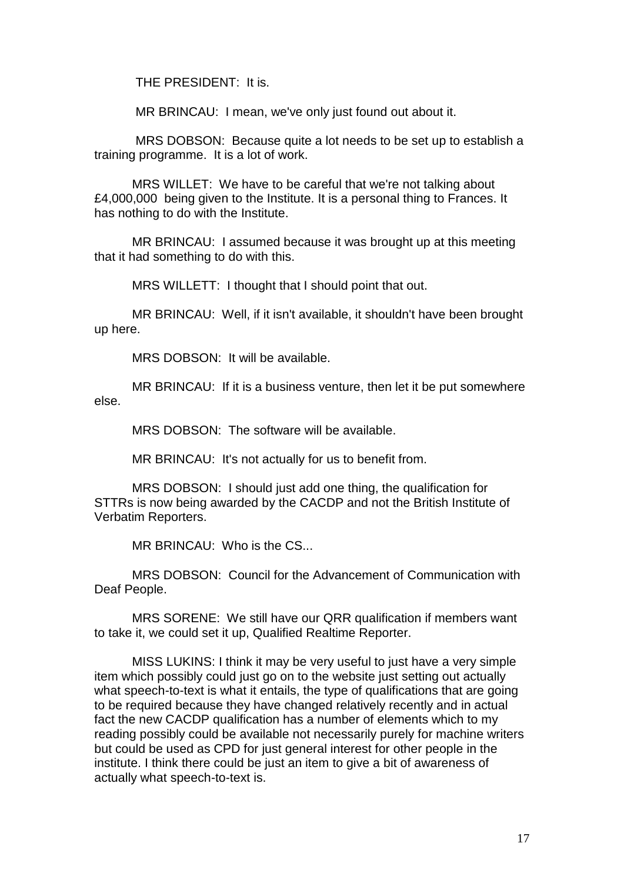THE PRESIDENT: It is.

MR BRINCAU: I mean, we've only just found out about it.

MRS DOBSON: Because quite a lot needs to be set up to establish a training programme. It is a lot of work.

MRS WILLET: We have to be careful that we're not talking about £4,000,000 being given to the Institute. It is a personal thing to Frances. It has nothing to do with the Institute.

MR BRINCAU: I assumed because it was brought up at this meeting that it had something to do with this.

MRS WILLETT: I thought that I should point that out.

MR BRINCAU: Well, if it isn't available, it shouldn't have been brought up here.

MRS DOBSON: It will be available.

MR BRINCAU: If it is a business venture, then let it be put somewhere else.

MRS DOBSON: The software will be available.

MR BRINCAU: It's not actually for us to benefit from.

 MRS DOBSON: I should just add one thing, the qualification for STTRs is now being awarded by the CACDP and not the British Institute of Verbatim Reporters.

MR BRINCAU: Who is the CS...

MRS DOBSON: Council for the Advancement of Communication with Deaf People.

MRS SORENE: We still have our QRR qualification if members want to take it, we could set it up, Qualified Realtime Reporter.

 MISS LUKINS: I think it may be very useful to just have a very simple item which possibly could just go on to the website just setting out actually what speech-to-text is what it entails, the type of qualifications that are going to be required because they have changed relatively recently and in actual fact the new CACDP qualification has a number of elements which to my reading possibly could be available not necessarily purely for machine writers but could be used as CPD for just general interest for other people in the institute. I think there could be just an item to give a bit of awareness of actually what speech-to-text is.